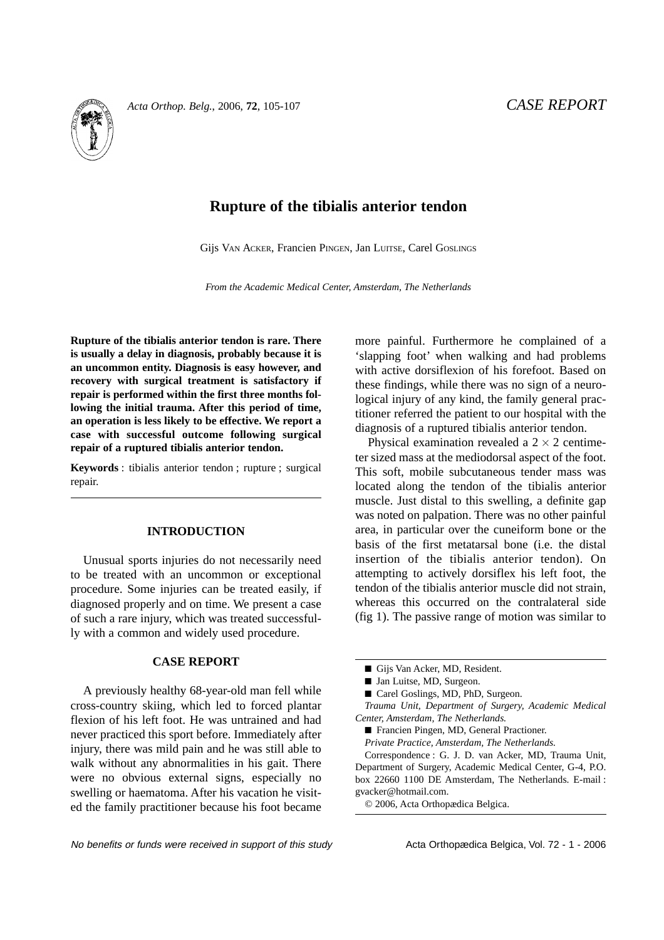

# **Rupture of the tibialis anterior tendon**

Gijs VAN ACKER, Francien PINGEN, Jan LUITSE, Carel GOSLINGS

*From the Academic Medical Center, Amsterdam, The Netherlands*

**Rupture of the tibialis anterior tendon is rare. There is usually a delay in diagnosis, probably because it is an uncommon entity. Diagnosis is easy however, and recovery with surgical treatment is satisfactory if repair is performed within the first three months following the initial trauma. After this period of time, an operation is less likely to be effective. We report a case with successful outcome following surgical repair of a ruptured tibialis anterior tendon.**

**Keywords** : tibialis anterior tendon ; rupture ; surgical repair.

## **INTRODUCTION**

Unusual sports injuries do not necessarily need to be treated with an uncommon or exceptional procedure. Some injuries can be treated easily, if diagnosed properly and on time. We present a case of such a rare injury, which was treated successfully with a common and widely used procedure.

### **CASE REPORT**

A previously healthy 68-year-old man fell while cross-country skiing, which led to forced plantar flexion of his left foot. He was untrained and had never practiced this sport before. Immediately after injury, there was mild pain and he was still able to walk without any abnormalities in his gait. There were no obvious external signs, especially no swelling or haematoma. After his vacation he visited the family practitioner because his foot became more painful. Furthermore he complained of a 'slapping foot' when walking and had problems with active dorsiflexion of his forefoot. Based on these findings, while there was no sign of a neurological injury of any kind, the family general practitioner referred the patient to our hospital with the diagnosis of a ruptured tibialis anterior tendon.

Physical examination revealed a  $2 \times 2$  centimeter sized mass at the mediodorsal aspect of the foot. This soft, mobile subcutaneous tender mass was located along the tendon of the tibialis anterior muscle. Just distal to this swelling, a definite gap was noted on palpation. There was no other painful area, in particular over the cuneiform bone or the basis of the first metatarsal bone (i.e. the distal insertion of the tibialis anterior tendon). On attempting to actively dorsiflex his left foot, the tendon of the tibialis anterior muscle did not strain, whereas this occurred on the contralateral side (fig 1). The passive range of motion was similar to

Correspondence : G. J. D. van Acker, MD, Trauma Unit, Department of Surgery, Academic Medical Center, G-4, P.O. box 22660 1100 DE Amsterdam, The Netherlands. E-mail : gvacker@hotmail.com.

© 2006, Acta Orthopædica Belgica.

<sup>■</sup> Gijs Van Acker, MD, Resident.

<sup>■</sup> Jan Luitse, MD, Surgeon.

<sup>■</sup> Carel Goslings, MD, PhD, Surgeon.

*Trauma Unit, Department of Surgery, Academic Medical Center, Amsterdam, The Netherlands.*

<sup>■</sup> Francien Pingen, MD, General Practioner.

*Private Practice, Amsterdam, The Netherlands.*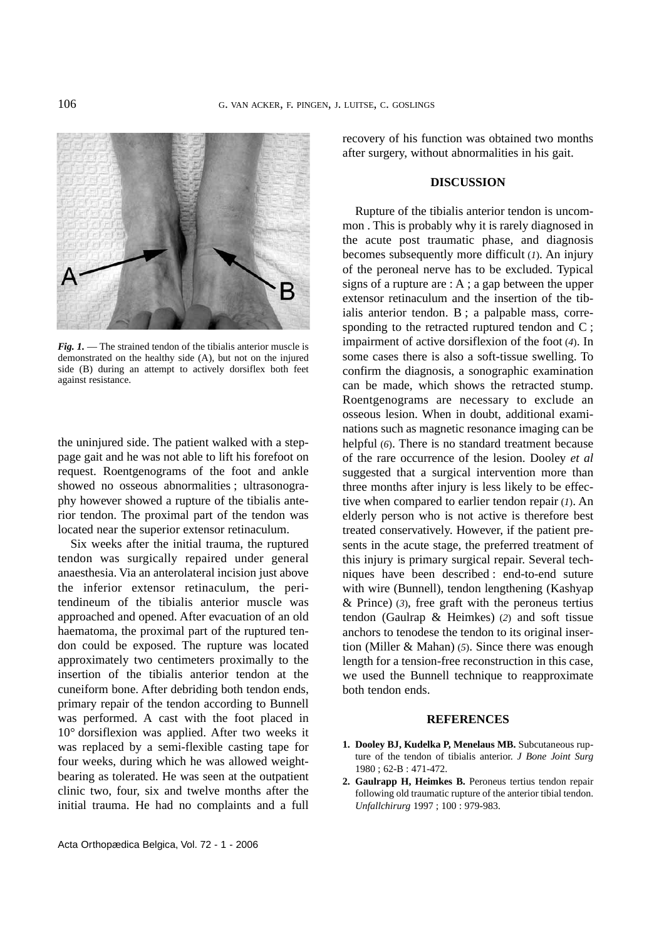

*Fig. 1.* — The strained tendon of the tibialis anterior muscle is demonstrated on the healthy side (A), but not on the injured side (B) during an attempt to actively dorsiflex both feet against resistance.

the uninjured side. The patient walked with a steppage gait and he was not able to lift his forefoot on request. Roentgenograms of the foot and ankle showed no osseous abnormalities ; ultrasonography however showed a rupture of the tibialis anterior tendon. The proximal part of the tendon was located near the superior extensor retinaculum.

Six weeks after the initial trauma, the ruptured tendon was surgically repaired under general anaesthesia. Via an anterolateral incision just above the inferior extensor retinaculum, the peritendineum of the tibialis anterior muscle was approached and opened. After evacuation of an old haematoma, the proximal part of the ruptured tendon could be exposed. The rupture was located approximately two centimeters proximally to the insertion of the tibialis anterior tendon at the cuneiform bone. After debriding both tendon ends, primary repair of the tendon according to Bunnell was performed. A cast with the foot placed in 10° dorsiflexion was applied. After two weeks it was replaced by a semi-flexible casting tape for four weeks, during which he was allowed weightbearing as tolerated. He was seen at the outpatient clinic two, four, six and twelve months after the initial trauma. He had no complaints and a full

Acta Orthopædica Belgica, Vol. 72 - 1 - 2006

recovery of his function was obtained two months after surgery, without abnormalities in his gait.

#### **DISCUSSION**

Rupture of the tibialis anterior tendon is uncommon . This is probably why it is rarely diagnosed in the acute post traumatic phase, and diagnosis becomes subsequently more difficult (*1*). An injury of the peroneal nerve has to be excluded. Typical signs of a rupture are : A ; a gap between the upper extensor retinaculum and the insertion of the tibialis anterior tendon. B ; a palpable mass, corresponding to the retracted ruptured tendon and C ; impairment of active dorsiflexion of the foot (*4*). In some cases there is also a soft-tissue swelling. To confirm the diagnosis, a sonographic examination can be made, which shows the retracted stump. Roentgenograms are necessary to exclude an osseous lesion. When in doubt, additional examinations such as magnetic resonance imaging can be helpful (*6*). There is no standard treatment because of the rare occurrence of the lesion. Dooley *et al* suggested that a surgical intervention more than three months after injury is less likely to be effective when compared to earlier tendon repair (*1*). An elderly person who is not active is therefore best treated conservatively. However, if the patient presents in the acute stage, the preferred treatment of this injury is primary surgical repair. Several techniques have been described : end-to-end suture with wire (Bunnell), tendon lengthening (Kashyap & Prince) (*3*), free graft with the peroneus tertius tendon (Gaulrap & Heimkes) (*2*) and soft tissue anchors to tenodese the tendon to its original insertion (Miller & Mahan) (*5*). Since there was enough length for a tension-free reconstruction in this case, we used the Bunnell technique to reapproximate both tendon ends.

#### **REFERENCES**

- **1. Dooley BJ, Kudelka P, Menelaus MB.** Subcutaneous rupture of the tendon of tibialis anterior. *J Bone Joint Surg* 1980 ; 62-B : 471-472.
- **2. Gaulrapp H, Heimkes B.** Peroneus tertius tendon repair following old traumatic rupture of the anterior tibial tendon. *Unfallchirurg* 1997 ; 100 : 979-983.